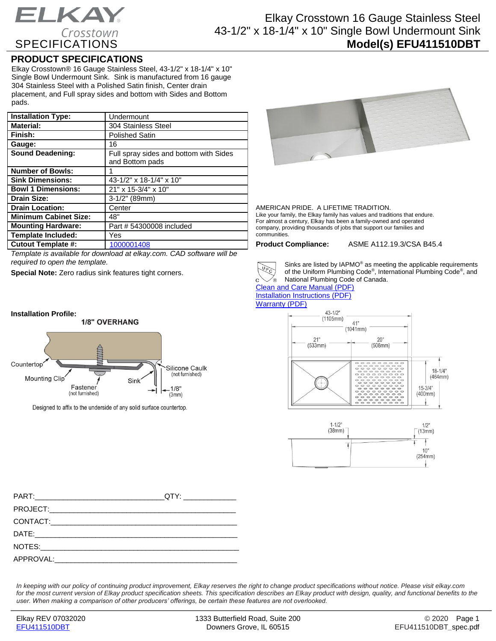# ELKAY. Crosstown **SPECIFICATIONS**

## Elkay Crosstown 16 Gauge Stainless Steel 43-1/2" x 18-1/4" x 10" Single Bowl Undermount Sink **Model(s) EFU411510DBT**

### **PRODUCT SPECIFICATIONS**

Elkay Crosstown® 16 Gauge Stainless Steel, 43-1/2" x 18-1/4" x 10" Single Bowl Undermount Sink. Sink is manufactured from 16 gauge 304 Stainless Steel with a Polished Satin finish, Center drain placement, and Full spray sides and bottom with Sides and Bottom pads.

| <b>Installation Type:</b>    | Undermount                                                |
|------------------------------|-----------------------------------------------------------|
| <b>Material:</b>             | 304 Stainless Steel                                       |
| Finish:                      | <b>Polished Satin</b>                                     |
| Gauge:                       | 16                                                        |
| <b>Sound Deadening:</b>      | Full spray sides and bottom with Sides<br>and Bottom pads |
| <b>Number of Bowls:</b>      |                                                           |
| <b>Sink Dimensions:</b>      | 43-1/2" x 18-1/4" x 10"                                   |
| <b>Bowl 1 Dimensions:</b>    | 21" x 15-3/4" x 10"                                       |
| <b>Drain Size:</b>           | $3-1/2"$ (89mm)                                           |
| <b>Drain Location:</b>       | Center                                                    |
| <b>Minimum Cabinet Size:</b> | 48"                                                       |
| <b>Mounting Hardware:</b>    | Part # 54300008 included                                  |
| <b>Template Included:</b>    | Yes                                                       |
| <b>Cutout Template #:</b>    | 1000001408                                                |

*Template is available for download at elkay.com. CAD software will be required to open the template.*

**Special Note:** Zero radius sink features tight corners.

#### **Installation Profile:**



Designed to affix to the underside of any solid surface countertop.



AMERICAN PRIDE. A LIFETIME TRADITION. Like your family, the Elkay family has values and traditions that endure. For almost a century, Elkay has been a family-owned and operated company, providing thousands of jobs that support our families and communities.

**Product Compliance:** ASME A112.19.3/CSA B45.4



Sinks are listed by IAPMO® as meeting the applicable requirements of the Uniform Plumbing Code® , International Plumbing Code® , and National Plumbing Code of Canada.

[Clean and Care Manual \(PDF\)](http://www.elkayfiles.com/care-cleaning-install-warranty-sheets/1000005386.pdf) [Installation Instructions \(PDF\)](http://www.elkayfiles.com/care-cleaning-install-warranty-sheets/1000005239.pdf) [Warranty](http://www.elkayfiles.com/care-cleaning-install-warranty-sheets/1000005125.pdf) (PDF)





| QTY: _______________ |
|----------------------|
|                      |
|                      |
|                      |
|                      |
|                      |
|                      |

*In keeping with our policy of continuing product improvement, Elkay reserves the right to change product specifications without notice. Please visit elkay.com*  for the most current version of Elkay product specification sheets. This specification describes an Elkay product with design, quality, and functional benefits to the *user. When making a comparison of other producers' offerings, be certain these features are not overlooked.*